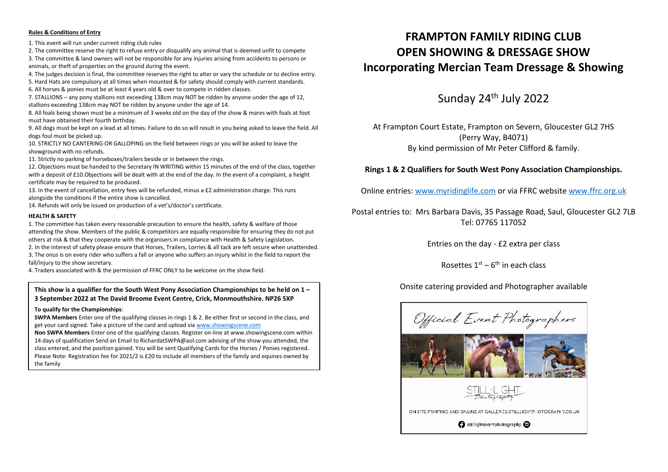#### **Rules & Conditions of Entry**

1. This event will run under current riding club rules

2. The committee reserve the right to refuse entry or disqualify any animal that is deemed unfit to compete 3. The committee & land owners will not be responsible for any injuries arising from accidents to persons or animals, or theft of properties on the ground during the event.

4. The judges decision is final, the committee reserves the right to alter or vary the schedule or to decline entry.

5. Hard Hats are compulsory at all times when mounted & for safety should comply with current standards.

6. All horses & ponies must be at least 4 years old & over to compete in ridden classes.

7. STALLIONS – any pony stallions not exceeding 138cm may NOT be ridden by anyone under the age of 12, stallions exceeding 138cm may NOT be ridden by anyone under the age of 14.

8. All foals being shown must be a minimum of 3 weeks old on the day of the show & mares with foals at foot must have obtained their fourth birthday.

9. All dogs must be kept on a lead at all times. Failure to do so will result in you being asked to leave the field. All dogs foul must be picked up.

10. STRICTLY NO CANTERING OR GALLOPING on the field between rings or you will be asked to leave the showground with no refunds.

11. Strictly no parking of horseboxes/trailers beside or in between the rings.

12. Objections must be handed to the Secretary IN WRITING within 15 minutes of the end of the class, together with a deposit of £10. Objections will be dealt with at the end of the day. In the event of a complaint, a height certificate may be required to be produced.

13. In the event of cancellation, entry fees will be refunded, minus a £2 administration charge. This runs alongside the conditions if the entire show is cancelled.

14. Refunds will only be issued on production of a vet's/doctor's certificate.

#### **HEALTH & SAFETY**

1. The committee has taken every reasonable precaution to ensure the health, safety & welfare of those attending the show. Members of the public & competitors are equally responsible for ensuring they do not put others at risk & that they cooperate with the organisers in compliance with Health & Safety Legislation.

2. In the interest of safety please ensure that Horses, Trailers, Lorries & all tack are left secure when unattended. 3. The onus is on every rider who suffers a fall or anyone who suffers an injury whilst in the field to report the fall/injury to the show secretary.

4. Traders associated with & the permission of FFRC ONLY to be welcome on the show field.

#### Onsite catering provided and Photographer available **This show is a qualifier for the South West Pony Association Championships to be held on 1 – 3 September 2022 at The David Broome Event Centre, Crick, Monmouthshire. NP26 5XP**

#### **To qualify for the Championships**:

**SWPA Members** Enter one of the qualifying classes in rings 1 & 2. Be either first or second in the class, and get your card signed. Take a picture of the card and upload via www.showingscene.com

**Non SWPA Members** Enter one of the qualifying classes. Register on-line at www.showingscene.com within 14 days of qualification Send an Email to RichardatSWPA@aol.com advising of the show you attended, the class entered, and the position gained. You will be sent Qualifying Cards for the Horses / Ponies registered. Please Note: Registration fee for 2021/2 is £20 to include all members of the family and equines owned by the family

# **FRAMPTON FAMILY RIDING CLUB OPEN SHOWING & DRESSAGE SHOW Incorporating Mercian Team Dressage & Showing**

Sunday 24th July 2022

At Frampton Court Estate, Frampton on Severn, Gloucester GL2 7HS (Perry Way, B4071) By kind permission of Mr Peter Clifford & family.

#### **Rings 1 & 2 Qualifiers for South West Pony Association Championships.**

Online entries: www.myridinglife.com or via FFRC website www.ffrc.org.uk

Postal entries to: Mrs Barbara Davis, 35 Passage Road, Saul, Gloucester GL2 7LB Tel: 07765 117052

Entries on the day - £2 extra per class

Rosettes  $1^\text{st}$  – 6<sup>th</sup> in each class

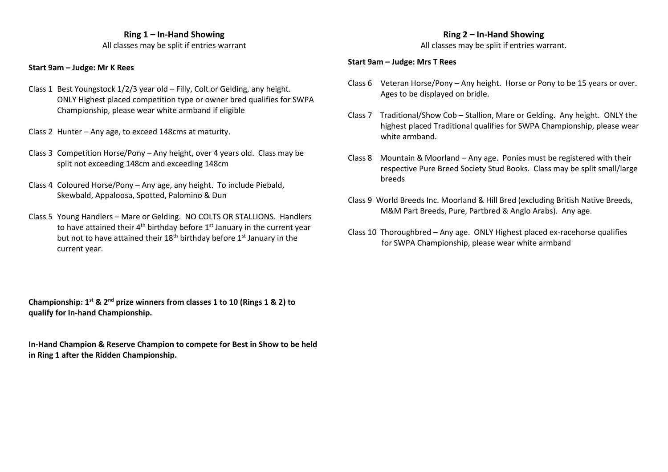#### **Ring 1 – In-Hand Showing**

All classes may be split if entries warrant

#### **Start 9am – Judge: Mr K Rees**

- Class 1 Best Youngstock 1/2/3 year old Filly, Colt or Gelding, any height. ONLY Highest placed competition type or owner bred qualifies for SWPA Championship, please wear white armband if eligible
- Class 2 Hunter Any age, to exceed 148cms at maturity.
- Class 3 Competition Horse/Pony Any height, over 4 years old. Class may be split not exceeding 148cm and exceeding 148cm
- Class 4 Coloured Horse/Pony Any age, any height. To include Piebald, Skewbald, Appaloosa, Spotted, Palomino & Dun
- Class 5 Young Handlers Mare or Gelding. NO COLTS OR STALLIONS. Handlers to have attained their  $4<sup>th</sup>$  birthday before  $1<sup>st</sup>$  January in the current year but not to have attained their  $18<sup>th</sup>$  birthday before  $1<sup>st</sup>$  January in the current year.

**Championship: 1st & 2nd prize winners from classes 1 to 10 (Rings 1 & 2) to qualify for In-hand Championship.**

**In-Hand Champion & Reserve Champion to compete for Best in Show to be held in Ring 1 after the Ridden Championship.**

## **Ring 2 – In-Hand Showing**

All classes may be split if entries warrant.

#### **Start 9am – Judge: Mrs T Rees**

- Class 6 Veteran Horse/Pony Any height. Horse or Pony to be 15 years or over. Ages to be displayed on bridle.
- Class 7 Traditional/Show Cob Stallion, Mare or Gelding. Any height. ONLY the highest placed Traditional qualifies for SWPA Championship, please wear white armband.
- Class 8 Mountain & Moorland Any age. Ponies must be registered with their respective Pure Breed Society Stud Books. Class may be split small/large breeds
- Class 9 World Breeds Inc. Moorland & Hill Bred (excluding British Native Breeds, M&M Part Breeds, Pure, Partbred & Anglo Arabs). Any age.
- Class 10 Thoroughbred Any age. ONLY Highest placed ex-racehorse qualifies for SWPA Championship, please wear white armband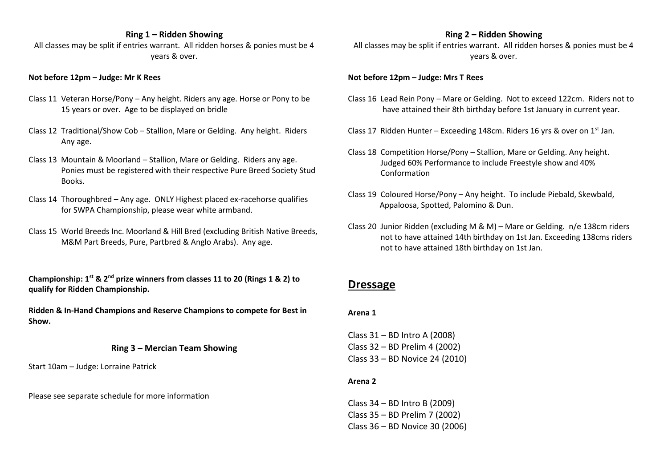## **Ring 1 – Ridden Showing**

All classes may be split if entries warrant. All ridden horses & ponies must be 4 years & over.

#### **Not before 12pm – Judge: Mr K Rees**

- Class 11 Veteran Horse/Pony Any height. Riders any age. Horse or Pony to be 15 years or over. Age to be displayed on bridle
- Class 12 Traditional/Show Cob Stallion, Mare or Gelding. Any height. Riders Any age.
- Class 13 Mountain & Moorland Stallion, Mare or Gelding. Riders any age. Ponies must be registered with their respective Pure Breed Society Stud **Books**
- Class 14 Thoroughbred Any age. ONLY Highest placed ex-racehorse qualifies for SWPA Championship, please wear white armband.
- Class 15 World Breeds Inc. Moorland & Hill Bred (excluding British Native Breeds, M&M Part Breeds, Pure, Partbred & Anglo Arabs). Any age.

**Championship: 1st & 2nd prize winners from classes 11 to 20 (Rings 1 & 2) to qualify for Ridden Championship.**

**Ridden & In-Hand Champions and Reserve Champions to compete for Best in Show.**

#### **Ring 3 – Mercian Team Showing**

Start 10am – Judge: Lorraine Patrick

Please see separate schedule for more information

#### **Ring 2 – Ridden Showing**

All classes may be split if entries warrant. All ridden horses & ponies must be 4 years & over.

#### **Not before 12pm – Judge: Mrs T Rees**

- Class 16 Lead Rein Pony Mare or Gelding. Not to exceed 122cm. Riders not to have attained their 8th birthday before 1st January in current year.
- Class 17 Ridden Hunter Exceeding 148cm. Riders 16 yrs & over on  $1<sup>st</sup>$  Jan.
- Class 18 Competition Horse/Pony Stallion, Mare or Gelding. Any height. Judged 60% Performance to include Freestyle show and 40% Conformation
- Class 19 Coloured Horse/Pony Any height. To include Piebald, Skewbald, Appaloosa, Spotted, Palomino & Dun.
- Class 20 Junior Ridden (excluding M & M) Mare or Gelding. n/e 138cm riders not to have attained 14th birthday on 1st Jan. Exceeding 138cms riders not to have attained 18th birthday on 1st Jan.

# **Dressage**

#### **Arena 1**

Class 31 – BD Intro A (2008) Class 32 – BD Prelim 4 (2002) Class 33 – BD Novice 24 (2010)

#### **Arena 2**

Class 34 – BD Intro B (2009) Class 35 – BD Prelim 7 (2002) Class 36 – BD Novice 30 (2006)